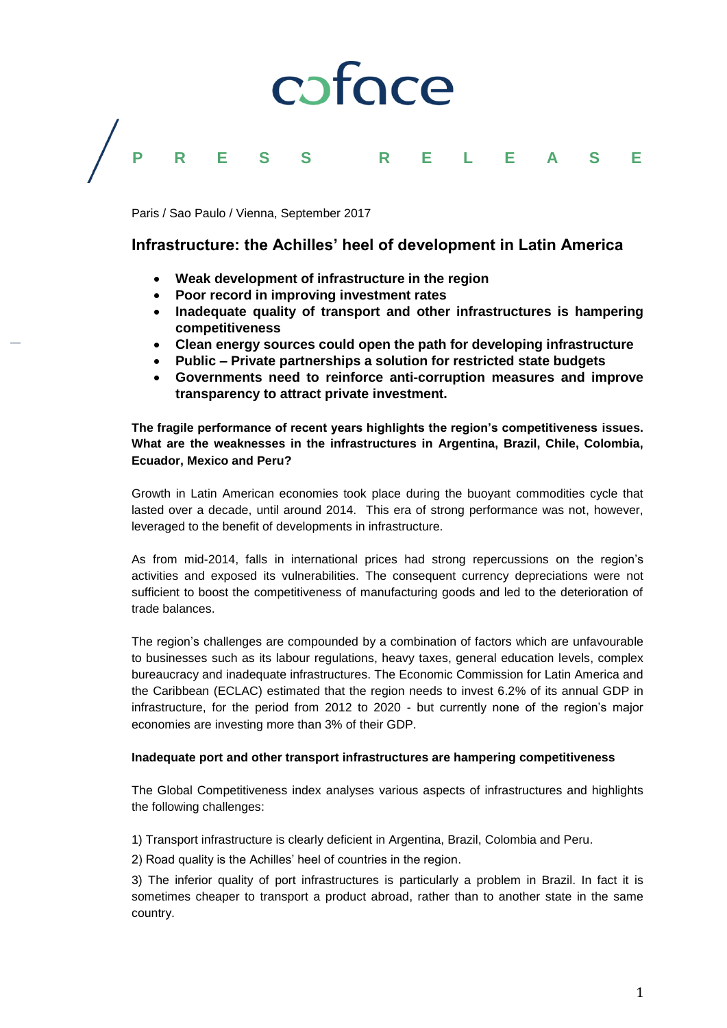# coface **P R E S S R E L E A S E**

Paris / Sao Paulo / Vienna, September 2017

# **Infrastructure: the Achilles' heel of development in Latin America**

- **Weak development of infrastructure in the region**
- **Poor record in improving investment rates**
- **Inadequate quality of transport and other infrastructures is hampering competitiveness**
- **Clean energy sources could open the path for developing infrastructure**
- **Public – Private partnerships a solution for restricted state budgets**
- **Governments need to reinforce anti-corruption measures and improve transparency to attract private investment.**

**The fragile performance of recent years highlights the region's competitiveness issues. What are the weaknesses in the infrastructures in Argentina, Brazil, Chile, Colombia, Ecuador, Mexico and Peru?**

Growth in Latin American economies took place during the buoyant commodities cycle that lasted over a decade, until around 2014. This era of strong performance was not, however, leveraged to the benefit of developments in infrastructure.

As from mid-2014, falls in international prices had strong repercussions on the region's activities and exposed its vulnerabilities. The consequent currency depreciations were not sufficient to boost the competitiveness of manufacturing goods and led to the deterioration of trade balances.

The region's challenges are compounded by a combination of factors which are unfavourable to businesses such as its labour regulations, heavy taxes, general education levels, complex bureaucracy and inadequate infrastructures. The Economic Commission for Latin America and the Caribbean (ECLAC) estimated that the region needs to invest 6.2% of its annual GDP in infrastructure, for the period from 2012 to 2020 - but currently none of the region's major economies are investing more than 3% of their GDP.

# **Inadequate port and other transport infrastructures are hampering competitiveness**

The Global Competitiveness index analyses various aspects of infrastructures and highlights the following challenges:

1) Transport infrastructure is clearly deficient in Argentina, Brazil, Colombia and Peru.

2) Road quality is the Achilles' heel of countries in the region.

3) The inferior quality of port infrastructures is particularly a problem in Brazil. In fact it is sometimes cheaper to transport a product abroad, rather than to another state in the same country.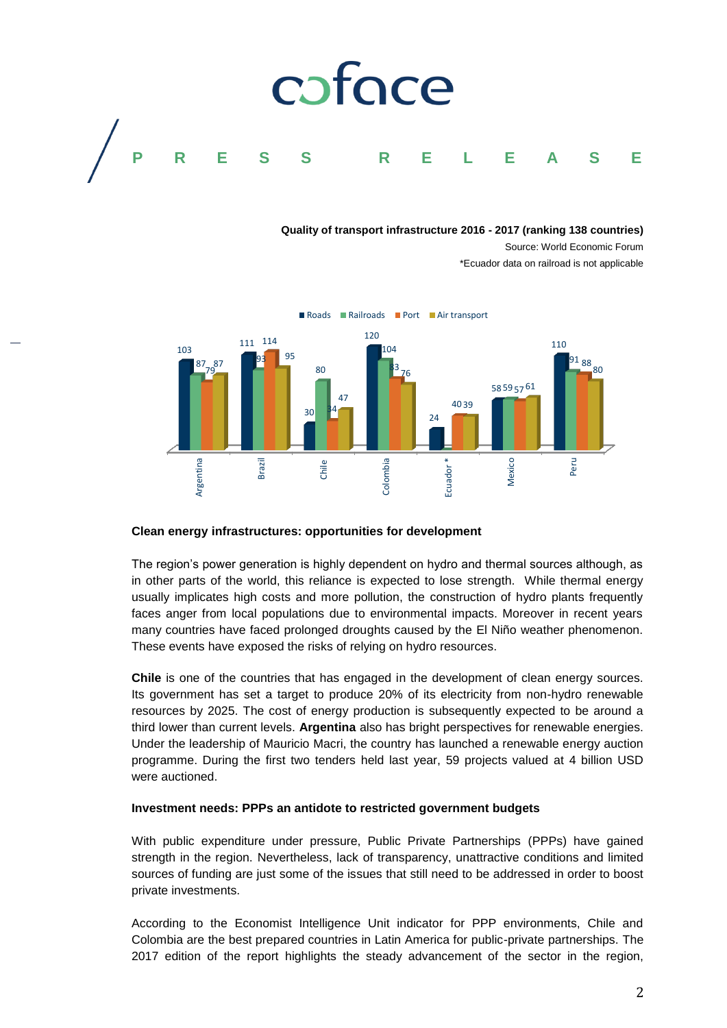

#### **Quality of transport infrastructure 2016 - 2017 (ranking 138 countries)**

Source: World Economic Forum \*Ecuador data on railroad is not applicable



# **Clean energy infrastructures: opportunities for development**

The region's power generation is highly dependent on hydro and thermal sources although, as in other parts of the world, this reliance is expected to lose strength. While thermal energy usually implicates high costs and more pollution, the construction of hydro plants frequently faces anger from local populations due to environmental impacts. Moreover in recent years many countries have faced prolonged droughts caused by the El Niño weather phenomenon. These events have exposed the risks of relying on hydro resources.

**Chile** is one of the countries that has engaged in the development of clean energy sources. Its government has set a target to produce 20% of its electricity from non-hydro renewable resources by 2025. The cost of energy production is subsequently expected to be around a third lower than current levels. **Argentina** also has bright perspectives for renewable energies. Under the leadership of Mauricio Macri, the country has launched a renewable energy auction programme. During the first two tenders held last year, 59 projects valued at 4 billion USD were auctioned. **Example 121** edition of the report of the report of the report of the region of the region of the report of the report denotes the region of the report particle is in the region of the region of the region of the steady

# **Investment needs: PPPs an antidote to restricted government budgets**

With public expenditure under pressure, Public Private Partnerships (PPPs) have gained strength in the region. Nevertheless, lack of transparency, unattractive conditions and limited sources of funding are just some of the issues that still need to be addressed in order to boost private investments.

According to the Economist Intelligence Unit indicator for PPP environments, Chile and Colombia are the best prepared countries in Latin America for public-private partnerships. The